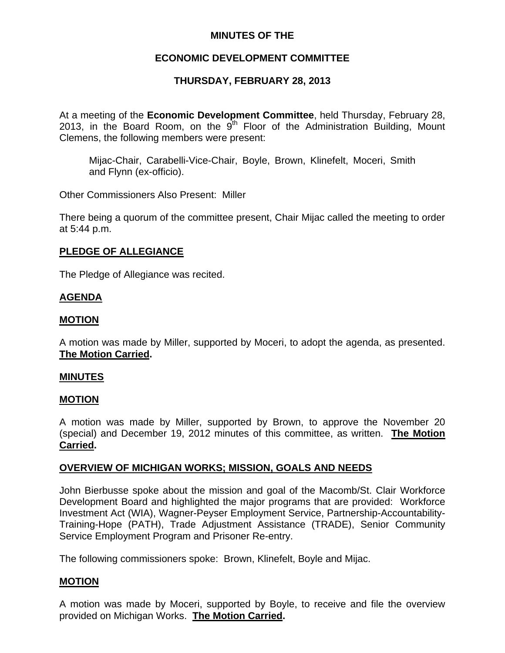## **MINUTES OF THE**

## **ECONOMIC DEVELOPMENT COMMITTEE**

# **THURSDAY, FEBRUARY 28, 2013**

At a meeting of the **Economic Development Committee**, held Thursday, February 28, 2013, in the Board Room, on the  $9<sup>th</sup>$  Floor of the Administration Building, Mount Clemens, the following members were present:

Mijac-Chair, Carabelli-Vice-Chair, Boyle, Brown, Klinefelt, Moceri, Smith and Flynn (ex-officio).

Other Commissioners Also Present: Miller

There being a quorum of the committee present, Chair Mijac called the meeting to order at 5:44 p.m.

### **PLEDGE OF ALLEGIANCE**

The Pledge of Allegiance was recited.

### **AGENDA**

### **MOTION**

A motion was made by Miller, supported by Moceri, to adopt the agenda, as presented. **The Motion Carried.** 

#### **MINUTES**

### **MOTION**

A motion was made by Miller, supported by Brown, to approve the November 20 (special) and December 19, 2012 minutes of this committee, as written. **The Motion Carried.** 

### **OVERVIEW OF MICHIGAN WORKS; MISSION, GOALS AND NEEDS**

John Bierbusse spoke about the mission and goal of the Macomb/St. Clair Workforce Development Board and highlighted the major programs that are provided: Workforce Investment Act (WIA), Wagner-Peyser Employment Service, Partnership-Accountability-Training-Hope (PATH), Trade Adjustment Assistance (TRADE), Senior Community Service Employment Program and Prisoner Re-entry.

The following commissioners spoke: Brown, Klinefelt, Boyle and Mijac.

### **MOTION**

A motion was made by Moceri, supported by Boyle, to receive and file the overview provided on Michigan Works. **The Motion Carried.**